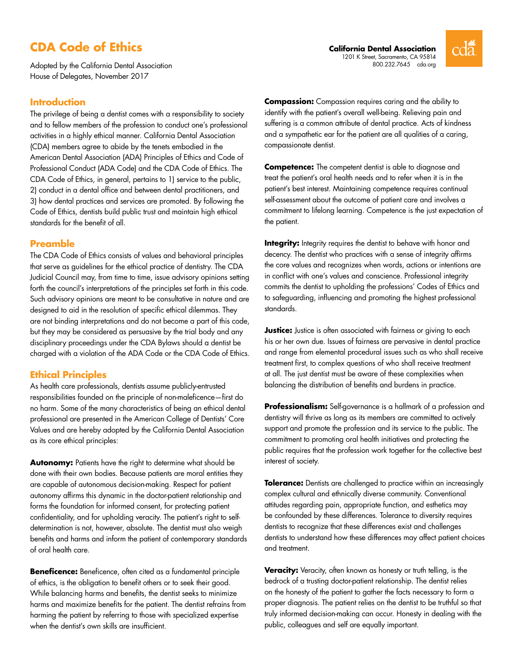# **CDA Code of Ethics**

Adopted by the California Dental Association House of Delegates, November 2017

# **Introduction**

The privilege of being a dentist comes with a responsibility to society and to fellow members of the profession to conduct one's professional activities in a highly ethical manner. California Dental Association (CDA) members agree to abide by the tenets embodied in the American Dental Association (ADA) Principles of Ethics and Code of Professional Conduct (ADA Code) and the CDA Code of Ethics. The CDA Code of Ethics, in general, pertains to 1) service to the public, 2) conduct in a dental office and between dental practitioners, and 3) how dental practices and services are promoted. By following the Code of Ethics, dentists build public trust and maintain high ethical standards for the benefit of all.

# **Preamble**

The CDA Code of Ethics consists of values and behavioral principles that serve as guidelines for the ethical practice of dentistry. The CDA Judicial Council may, from time to time, issue advisory opinions setting forth the council's interpretations of the principles set forth in this code. Such advisory opinions are meant to be consultative in nature and are designed to aid in the resolution of specific ethical dilemmas. They are not binding interpretations and do not become a part of this code, but they may be considered as persuasive by the trial body and any disciplinary proceedings under the CDA Bylaws should a dentist be charged with a violation of the ADA Code or the CDA Code of Ethics.

# **Ethical Principles**

As health care professionals, dentists assume publicly-entrusted responsibilities founded on the principle of non-maleficence—first do no harm. Some of the many characteristics of being an ethical dental professional are presented in the American College of Dentists' Core Values and are hereby adopted by the California Dental Association as its core ethical principles:

**Autonomy:** Patients have the right to determine what should be done with their own bodies. Because patients are moral entities they are capable of autonomous decision-making. Respect for patient autonomy affirms this dynamic in the doctor-patient relationship and forms the foundation for informed consent, for protecting patient confidentiality, and for upholding veracity. The patient's right to selfdetermination is not, however, absolute. The dentist must also weigh benefits and harms and inform the patient of contemporary standards of oral health care.

**Beneficence:** Beneficence, often cited as a fundamental principle of ethics, is the obligation to benefit others or to seek their good. While balancing harms and benefits, the dentist seeks to minimize harms and maximize benefits for the patient. The dentist refrains from harming the patient by referring to those with specialized expertise when the dentist's own skills are insufficient.

**Compassion:** Compassion requires caring and the ability to identify with the patient's overall well-being. Relieving pain and suffering is a common attribute of dental practice. Acts of kindness and a sympathetic ear for the patient are all qualities of a caring, compassionate dentist.

**Competence:** The competent dentist is able to diagnose and treat the patient's oral health needs and to refer when it is in the patient's best interest. Maintaining competence requires continual self-assessment about the outcome of patient care and involves a commitment to lifelong learning. Competence is the just expectation of the patient.

**Integrity:** Integrity requires the dentist to behave with honor and decency. The dentist who practices with a sense of integrity affirms the core values and recognizes when words, actions or intentions are in conflict with one's values and conscience. Professional integrity commits the dentist to upholding the professions' Codes of Ethics and to safeguarding, influencing and promoting the highest professional standards.

**Justice:** Justice is often associated with fairness or giving to each his or her own due. Issues of fairness are pervasive in dental practice and range from elemental procedural issues such as who shall receive treatment first, to complex questions of who shall receive treatment at all. The just dentist must be aware of these complexities when balancing the distribution of benefits and burdens in practice.

**Professionalism:** Self-governance is a hallmark of a profession and dentistry will thrive as long as its members are committed to actively support and promote the profession and its service to the public. The commitment to promoting oral health initiatives and protecting the public requires that the profession work together for the collective best interest of society.

**Tolerance:** Dentists are challenged to practice within an increasingly complex cultural and ethnically diverse community. Conventional attitudes regarding pain, appropriate function, and esthetics may be confounded by these differences. Tolerance to diversity requires dentists to recognize that these differences exist and challenges dentists to understand how these differences may affect patient choices and treatment.

**Veracity:** Veracity, often known as honesty or truth telling, is the bedrock of a trusting doctor-patient relationship. The dentist relies on the honesty of the patient to gather the facts necessary to form a proper diagnosis. The patient relies on the dentist to be truthful so that truly informed decision-making can occur. Honesty in dealing with the public, colleagues and self are equally important.

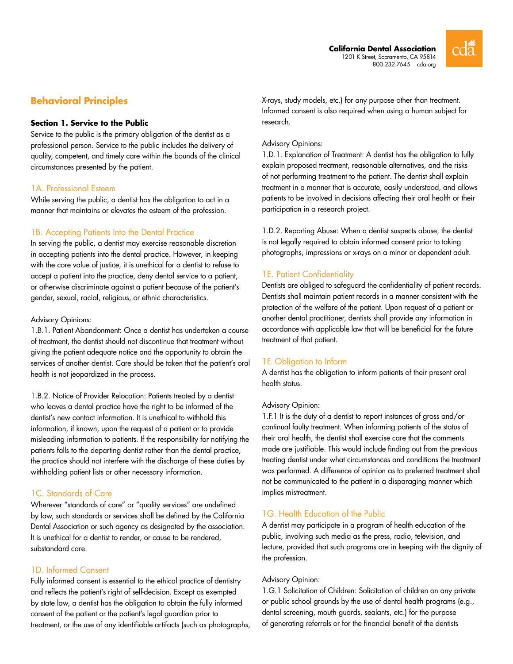

# **Behavioral Principles**

#### **Section 1. Service to the Public**

Service to the public is the primary obligation of the dentist as a professional person. Service to the public includes the delivery of quality, competent, and timely care within the bounds of the clinical circumstances presented by the patient.

# 1A. Professional Esteem

While serving the public, a dentist has the obligation to act in a manner that maintains or elevates the esteem of the profession.

#### 1B. Accepting Patients Into the Dental Practice

In serving the public, a dentist may exercise reasonable discretion in accepting patients into the dental practice. However, in keeping with the core value of justice, it is unethical for a dentist to refuse to accept a patient into the practice, deny dental service to a patient, or otherwise discriminate against a patient because of the patient's gender, sexual, racial, religious, or ethnic characteristics.

#### Advisory Opinions:

1.B.1. Patient Abandonment: Once a dentist has undertaken a course of treatment, the dentist should not discontinue that treatment without giving the patient adequate notice and the opportunity to obtain the services of another dentist. Care should be taken that the patient's oral health is not jeopardized in the process.

1.B.2. Notice of Provider Relocation: Patients treated by a dentist who leaves a dental practice have the right to be informed of the dentist's new contact information. It is unethical to withhold this information, if known, upon the request of a patient or to provide misleading information to patients. If the responsibility for notifying the patients falls to the departing dentist rather than the dental practice, the practice should not interfere with the discharge of these duties by withholding patient lists or other necessary information.

# 1C. Standards of Care

Wherever "standards of care" or "quality services" are undefined by law, such standards or services shall be defined by the California Dental Association or such agency as designated by the association. It is unethical for a dentist to render, or cause to be rendered, substandard care.

# 1D. Informed Consent

Fully informed consent is essential to the ethical practice of dentistry and reflects the patient's right of self-decision. Except as exempted by state law, a dentist has the obligation to obtain the fully informed consent of the patient or the patient's legal guardian prior to treatment, or the use of any identifiable artifacts (such as photographs, X-rays, study models, etc.) for any purpose other than treatment. Informed consent is also required when using a human subject for research.

#### Advisory Opinions:

1.D.1. Explanation of Treatment: A dentist has the obligation to fully explain proposed treatment, reasonable alternatives, and the risks of not performing treatment to the patient. The dentist shall explain treatment in a manner that is accurate, easily understood, and allows patients to be involved in decisions affecting their oral health or their participation in a research project.

1.D.2. Reporting Abuse: When a dentist suspects abuse, the dentist is not legally required to obtain informed consent prior to taking photographs, impressions or x-rays on a minor or dependent adult.

# 1E. Patient Confidentiality

Dentists are obliged to safeguard the confidentiality of patient records. Dentists shall maintain patient records in a manner consistent with the protection of the welfare of the patient. Upon request of a patient or another dental practitioner, dentists shall provide any information in accordance with applicable law that will be beneficial for the future treatment of that patient.

# 1F. Obligation to Inform

A dentist has the obligation to inform patients of their present oral health status.

### Advisory Opinion:

1.F.1 It is the duty of a dentist to report instances of gross and/or continual faulty treatment. When informing patients of the status of their oral health, the dentist shall exercise care that the comments made are justifiable. This would include finding out from the previous treating dentist under what circumstances and conditions the treatment was performed. A difference of opinion as to preferred treatment shall not be communicated to the patient in a disparaging manner which implies mistreatment.

# 1G. Health Education of the Public

A dentist may participate in a program of health education of the public, involving such media as the press, radio, television, and lecture, provided that such programs are in keeping with the dignity of the profession.

#### Advisory Opinion:

1.G.1 Solicitation of Children: Solicitation of children on any private or public school grounds by the use of dental health programs (e.g., dental screening, mouth guards, sealants, etc.) for the purpose of generating referrals or for the financial benefit of the dentists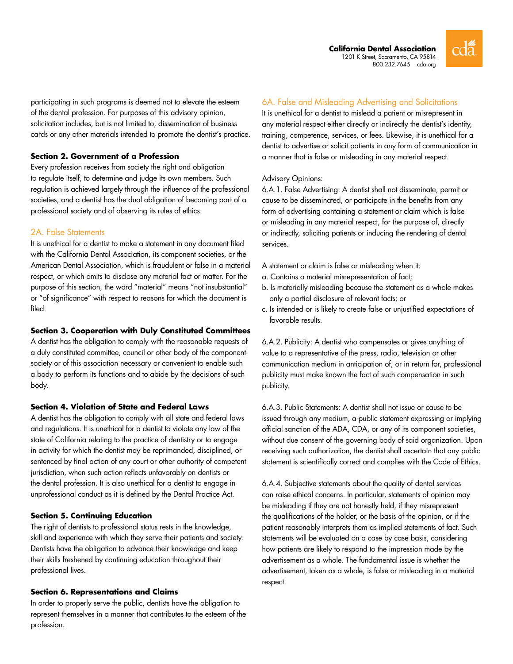

participating in such programs is deemed not to elevate the esteem of the dental profession. For purposes of this advisory opinion, solicitation includes, but is not limited to, dissemination of business cards or any other materials intended to promote the dentist's practice.

# **Section 2. Government of a Profession**

Every profession receives from society the right and obligation to regulate itself, to determine and judge its own members. Such regulation is achieved largely through the influence of the professional societies, and a dentist has the dual obligation of becoming part of a professional society and of observing its rules of ethics.

# 2A. False Statements

It is unethical for a dentist to make a statement in any document filed with the California Dental Association, its component societies, or the American Dental Association, which is fraudulent or false in a material respect, or which omits to disclose any material fact or matter. For the purpose of this section, the word "material" means "not insubstantial" or "of significance" with respect to reasons for which the document is filed.

#### **Section 3. Cooperation with Duly Constituted Committees**

A dentist has the obligation to comply with the reasonable requests of a duly constituted committee, council or other body of the component society or of this association necessary or convenient to enable such a body to perform its functions and to abide by the decisions of such body.

#### **Section 4. Violation of State and Federal Laws**

A dentist has the obligation to comply with all state and federal laws and regulations. It is unethical for a dentist to violate any law of the state of California relating to the practice of dentistry or to engage in activity for which the dentist may be reprimanded, disciplined, or sentenced by final action of any court or other authority of competent jurisdiction, when such action reflects unfavorably on dentists or the dental profession. It is also unethical for a dentist to engage in unprofessional conduct as it is defined by the Dental Practice Act.

#### **Section 5. Continuing Education**

The right of dentists to professional status rests in the knowledge, skill and experience with which they serve their patients and society. Dentists have the obligation to advance their knowledge and keep their skills freshened by continuing education throughout their professional lives.

#### **Section 6. Representations and Claims**

In order to properly serve the public, dentists have the obligation to represent themselves in a manner that contributes to the esteem of the profession.

# 6A. False and Misleading Advertising and Solicitations

It is unethical for a dentist to mislead a patient or misrepresent in any material respect either directly or indirectly the dentist's identity, training, competence, services, or fees. Likewise, it is unethical for a dentist to advertise or solicit patients in any form of communication in a manner that is false or misleading in any material respect.

#### Advisory Opinions:

6.A.1. False Advertising: A dentist shall not disseminate, permit or cause to be disseminated, or participate in the benefits from any form of advertising containing a statement or claim which is false or misleading in any material respect, for the purpose of, directly or indirectly, soliciting patients or inducing the rendering of dental services.

- A statement or claim is false or misleading when it:
- a. Contains a material misrepresentation of fact;
- b. Is materially misleading because the statement as a whole makes only a partial disclosure of relevant facts; or
- c. Is intended or is likely to create false or unjustified expectations of favorable results.

6.A.2. Publicity: A dentist who compensates or gives anything of value to a representative of the press, radio, television or other communication medium in anticipation of, or in return for, professional publicity must make known the fact of such compensation in such publicity.

6.A.3. Public Statements: A dentist shall not issue or cause to be issued through any medium, a public statement expressing or implying official sanction of the ADA, CDA, or any of its component societies, without due consent of the governing body of said organization. Upon receiving such authorization, the dentist shall ascertain that any public statement is scientifically correct and complies with the Code of Ethics.

6.A.4. Subjective statements about the quality of dental services can raise ethical concerns. In particular, statements of opinion may be misleading if they are not honestly held, if they misrepresent the qualifications of the holder, or the basis of the opinion, or if the patient reasonably interprets them as implied statements of fact. Such statements will be evaluated on a case by case basis, considering how patients are likely to respond to the impression made by the advertisement as a whole. The fundamental issue is whether the advertisement, taken as a whole, is false or misleading in a material respect.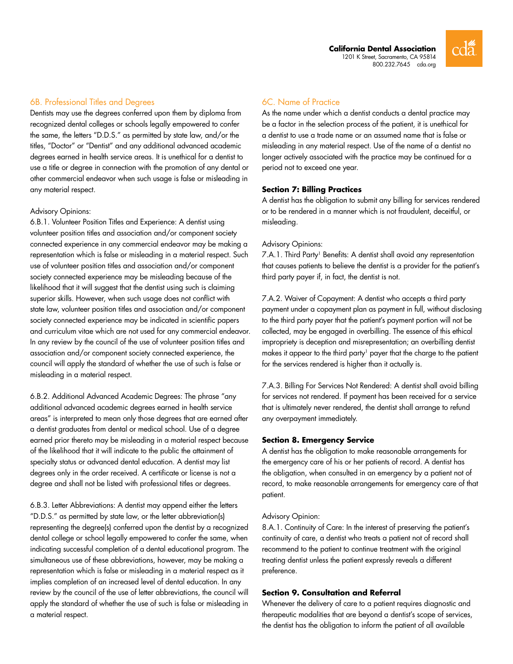

# 6B. Professional Titles and Degrees

Dentists may use the degrees conferred upon them by diploma from recognized dental colleges or schools legally empowered to confer the same, the letters "D.D.S." as permitted by state law, and/or the titles, "Doctor" or "Dentist" and any additional advanced academic degrees earned in health service areas. It is unethical for a dentist to use a title or degree in connection with the promotion of any dental or other commercial endeavor when such usage is false or misleading in any material respect.

#### Advisory Opinions:

6.B.1. Volunteer Position Titles and Experience: A dentist using volunteer position titles and association and/or component society connected experience in any commercial endeavor may be making a representation which is false or misleading in a material respect. Such use of volunteer position titles and association and/or component society connected experience may be misleading because of the likelihood that it will suggest that the dentist using such is claiming superior skills. However, when such usage does not conflict with state law, volunteer position titles and association and/or component society connected experience may be indicated in scientific papers and curriculum vitae which are not used for any commercial endeavor. In any review by the council of the use of volunteer position titles and association and/or component society connected experience, the council will apply the standard of whether the use of such is false or misleading in a material respect.

6.B.2. Additional Advanced Academic Degrees: The phrase "any additional advanced academic degrees earned in health service areas" is interpreted to mean only those degrees that are earned after a dentist graduates from dental or medical school. Use of a degree earned prior thereto may be misleading in a material respect because of the likelihood that it will indicate to the public the attainment of specialty status or advanced dental education. A dentist may list degrees only in the order received. A certificate or license is not a degree and shall not be listed with professional titles or degrees.

6.B.3. Letter Abbreviations: A dentist may append either the letters "D.D.S." as permitted by state law, or the letter abbreviation(s) representing the degree(s) conferred upon the dentist by a recognized dental college or school legally empowered to confer the same, when indicating successful completion of a dental educational program. The simultaneous use of these abbreviations, however, may be making a representation which is false or misleading in a material respect as it implies completion of an increased level of dental education. In any review by the council of the use of letter abbreviations, the council will apply the standard of whether the use of such is false or misleading in a material respect.

# 6C. Name of Practice

As the name under which a dentist conducts a dental practice may be a factor in the selection process of the patient, it is unethical for a dentist to use a trade name or an assumed name that is false or misleading in any material respect. Use of the name of a dentist no longer actively associated with the practice may be continued for a period not to exceed one year.

# **Section 7: Billing Practices**

A dentist has the obligation to submit any billing for services rendered or to be rendered in a manner which is not fraudulent, deceitful, or misleading.

#### Advisory Opinions:

7.A.1. Third Party<sup>1</sup> Benefits: A dentist shall avoid any representation that causes patients to believe the dentist is a provider for the patient's third party payer if, in fact, the dentist is not.

7.A.2. Waiver of Copayment: A dentist who accepts a third party payment under a copayment plan as payment in full, without disclosing to the third party payer that the patient's payment portion will not be collected, may be engaged in overbilling. The essence of this ethical impropriety is deception and misrepresentation; an overbilling dentist makes it appear to the third party<sup>1</sup> payer that the charge to the patient for the services rendered is higher than it actually is.

7.A.3. Billing For Services Not Rendered: A dentist shall avoid billing for services not rendered. If payment has been received for a service that is ultimately never rendered, the dentist shall arrange to refund any overpayment immediately.

# **Section 8. Emergency Service**

A dentist has the obligation to make reasonable arrangements for the emergency care of his or her patients of record. A dentist has the obligation, when consulted in an emergency by a patient not of record, to make reasonable arrangements for emergency care of that patient.

#### Advisory Opinion:

8.A.1. Continuity of Care: In the interest of preserving the patient's continuity of care, a dentist who treats a patient not of record shall recommend to the patient to continue treatment with the original treating dentist unless the patient expressly reveals a different preference.

#### **Section 9. Consultation and Referral**

Whenever the delivery of care to a patient requires diagnostic and therapeutic modalities that are beyond a dentist's scope of services, the dentist has the obligation to inform the patient of all available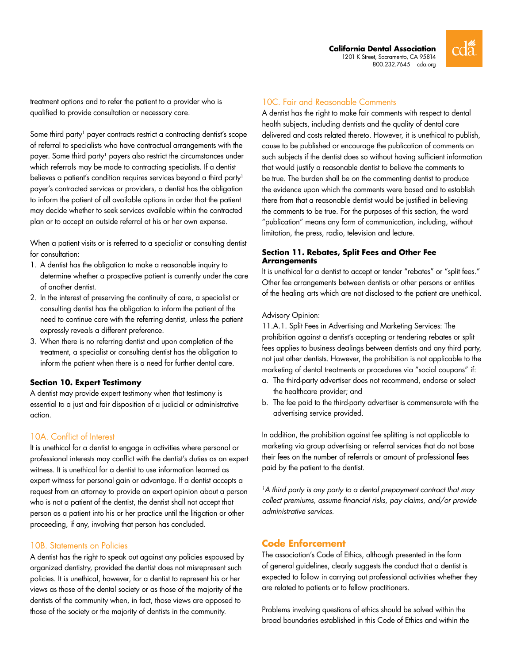**California Dental Association** 1201 K Street, Sacramento, CA 95814 800.232.7645 <cda.org>



treatment options and to refer the patient to a provider who is qualified to provide consultation or necessary care.

Some third party<sup>1</sup> payer contracts restrict a contracting dentist's scope of referral to specialists who have contractual arrangements with the payer. Some third party<sup>1</sup> payers also restrict the circumstances under which referrals may be made to contracting specialists. If a dentist believes a patient's condition requires services beyond a third party<sup>1</sup> payer's contracted services or providers, a dentist has the obligation to inform the patient of all available options in order that the patient may decide whether to seek services available within the contracted plan or to accept an outside referral at his or her own expense.

When a patient visits or is referred to a specialist or consulting dentist for consultation:

- 1. A dentist has the obligation to make a reasonable inquiry to determine whether a prospective patient is currently under the care of another dentist.
- 2. In the interest of preserving the continuity of care, a specialist or consulting dentist has the obligation to inform the patient of the need to continue care with the referring dentist, unless the patient expressly reveals a different preference.
- 3. When there is no referring dentist and upon completion of the treatment, a specialist or consulting dentist has the obligation to inform the patient when there is a need for further dental care.

#### **Section 10. Expert Testimony**

A dentist may provide expert testimony when that testimony is essential to a just and fair disposition of a judicial or administrative action.

# 10A. Conflict of Interest

It is unethical for a dentist to engage in activities where personal or professional interests may conflict with the dentist's duties as an expert witness. It is unethical for a dentist to use information learned as expert witness for personal gain or advantage. If a dentist accepts a request from an attorney to provide an expert opinion about a person who is not a patient of the dentist, the dentist shall not accept that person as a patient into his or her practice until the litigation or other proceeding, if any, involving that person has concluded.

#### 10B. Statements on Policies

A dentist has the right to speak out against any policies espoused by organized dentistry, provided the dentist does not misrepresent such policies. It is unethical, however, for a dentist to represent his or her views as those of the dental society or as those of the majority of the dentists of the community when, in fact, those views are opposed to those of the society or the majority of dentists in the community.

# 10C. Fair and Reasonable Comments

A dentist has the right to make fair comments with respect to dental health subjects, including dentists and the quality of dental care delivered and costs related thereto. However, it is unethical to publish, cause to be published or encourage the publication of comments on such subjects if the dentist does so without having sufficient information that would justify a reasonable dentist to believe the comments to be true. The burden shall be on the commenting dentist to produce the evidence upon which the comments were based and to establish there from that a reasonable dentist would be justified in believing the comments to be true. For the purposes of this section, the word "publication" means any form of communication, including, without limitation, the press, radio, television and lecture.

#### **Section 11. Rebates, Split Fees and Other Fee Arrangements**

It is unethical for a dentist to accept or tender "rebates" or "split fees." Other fee arrangements between dentists or other persons or entities of the healing arts which are not disclosed to the patient are unethical.

#### Advisory Opinion:

11.A.1. Split Fees in Advertising and Marketing Services: The prohibition against a dentist's accepting or tendering rebates or split fees applies to business dealings between dentists and any third party, not just other dentists. However, the prohibition is not applicable to the marketing of dental treatments or procedures via "social coupons" if:

- a. The third-party advertiser does not recommend, endorse or select the healthcare provider; and
- b. The fee paid to the third-party advertiser is commensurate with the advertising service provided.

In addition, the prohibition against fee splitting is not applicable to marketing via group advertising or referral services that do not base their fees on the number of referrals or amount of professional fees paid by the patient to the dentist.

*1A third party is any party to a dental prepayment contract that may collect premiums, assume financial risks, pay claims, and/or provide administrative services.*

# **Code Enforcement**

The association's Code of Ethics, although presented in the form of general guidelines, clearly suggests the conduct that a dentist is expected to follow in carrying out professional activities whether they are related to patients or to fellow practitioners.

Problems involving questions of ethics should be solved within the broad boundaries established in this Code of Ethics and within the